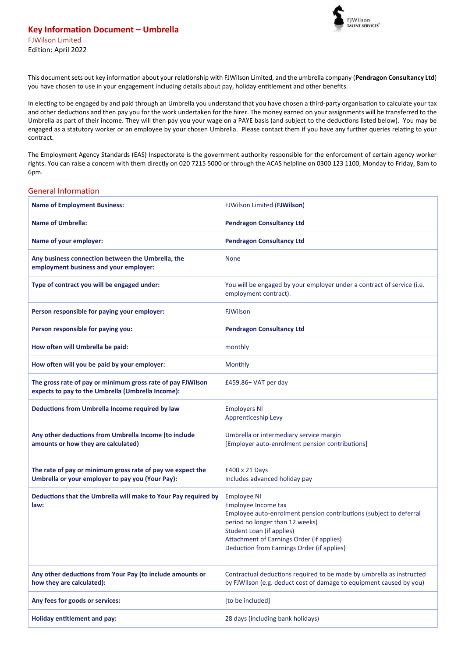

This document sets out key information about your relationship with FJWilson Limited, and the umbrella company (**Pendragon Consultancy Ltd**) you have chosen to use in your engagement including details about pay, holiday entitlement and other benefits.

In electing to be engaged by and paid through an Umbrella you understand that you have chosen a third-party organisation to calculate your tax and other deductions and then pay you for the work undertaken for the hirer. The money earned on your assignments will be transferred to the Umbrella as part of their income. They will then pay you your wage on a PAYE basis (and subject to the deductions listed below). You may be engaged as a statutory worker or an employee by your chosen Umbrella. Please contact them if you have any further queries relating to your contract.

The Employment Agency Standards (EAS) Inspectorate is the government authority responsible for the enforcement of certain agency worker rights. You can raise a concern with them directly on 020 7215 5000 or through the ACAS helpline on 0300 123 1100, Monday to Friday, 8am to 6pm.

## General Information

| <b>Name of Employment Business:</b>                                                                              | FJWilson Limited (FJWilson)                                                                                                                                                                                                                                                       |  |
|------------------------------------------------------------------------------------------------------------------|-----------------------------------------------------------------------------------------------------------------------------------------------------------------------------------------------------------------------------------------------------------------------------------|--|
| <b>Name of Umbrella:</b>                                                                                         | <b>Pendragon Consultancy Ltd</b>                                                                                                                                                                                                                                                  |  |
| Name of your employer:                                                                                           | <b>Pendragon Consultancy Ltd</b>                                                                                                                                                                                                                                                  |  |
| Any business connection between the Umbrella, the<br>employment business and your employer:                      | <b>None</b>                                                                                                                                                                                                                                                                       |  |
| Type of contract you will be engaged under:                                                                      | You will be engaged by your employer under a contract of service (i.e.<br>employment contract).                                                                                                                                                                                   |  |
| Person responsible for paying your employer:                                                                     | <b>FJWilson</b>                                                                                                                                                                                                                                                                   |  |
| Person responsible for paying you:                                                                               | <b>Pendragon Consultancy Ltd</b>                                                                                                                                                                                                                                                  |  |
| How often will Umbrella be paid:                                                                                 | monthly                                                                                                                                                                                                                                                                           |  |
| How often will you be paid by your employer:                                                                     | Monthly                                                                                                                                                                                                                                                                           |  |
| The gross rate of pay or minimum gross rate of pay FJWilson<br>expects to pay to the Umbrella (Umbrella Income): | £459.86+ VAT per day                                                                                                                                                                                                                                                              |  |
| Deductions from Umbrella Income required by law                                                                  | <b>Employers NI</b><br>Apprenticeship Levy                                                                                                                                                                                                                                        |  |
| Any other deductions from Umbrella Income (to include<br>amounts or how they are calculated)                     | Umbrella or intermediary service margin<br>[Employer auto-enrolment pension contributions]                                                                                                                                                                                        |  |
| The rate of pay or minimum gross rate of pay we expect the<br>Umbrella or your employer to pay you (Your Pay):   | £400 x 21 Days<br>Includes advanced holiday pay                                                                                                                                                                                                                                   |  |
| Deductions that the Umbrella will make to Your Pay required by<br>law:                                           | <b>Employee NI</b><br>Employee Income tax<br>Employee auto-enrolment pension contributions (subject to deferral<br>period no longer than 12 weeks)<br><b>Student Loan (if applies)</b><br>Attachment of Earnings Order (if applies)<br>Deduction from Earnings Order (if applies) |  |
| Any other deductions from Your Pay (to include amounts or<br>how they are calculated):                           | Contractual deductions required to be made by umbrella as instructed<br>by FJWilson (e.g. deduct cost of damage to equipment caused by you)                                                                                                                                       |  |
| Any fees for goods or services:                                                                                  | [to be included]                                                                                                                                                                                                                                                                  |  |
| <b>Holiday entitlement and pay:</b>                                                                              | 28 days (including bank holidays)                                                                                                                                                                                                                                                 |  |